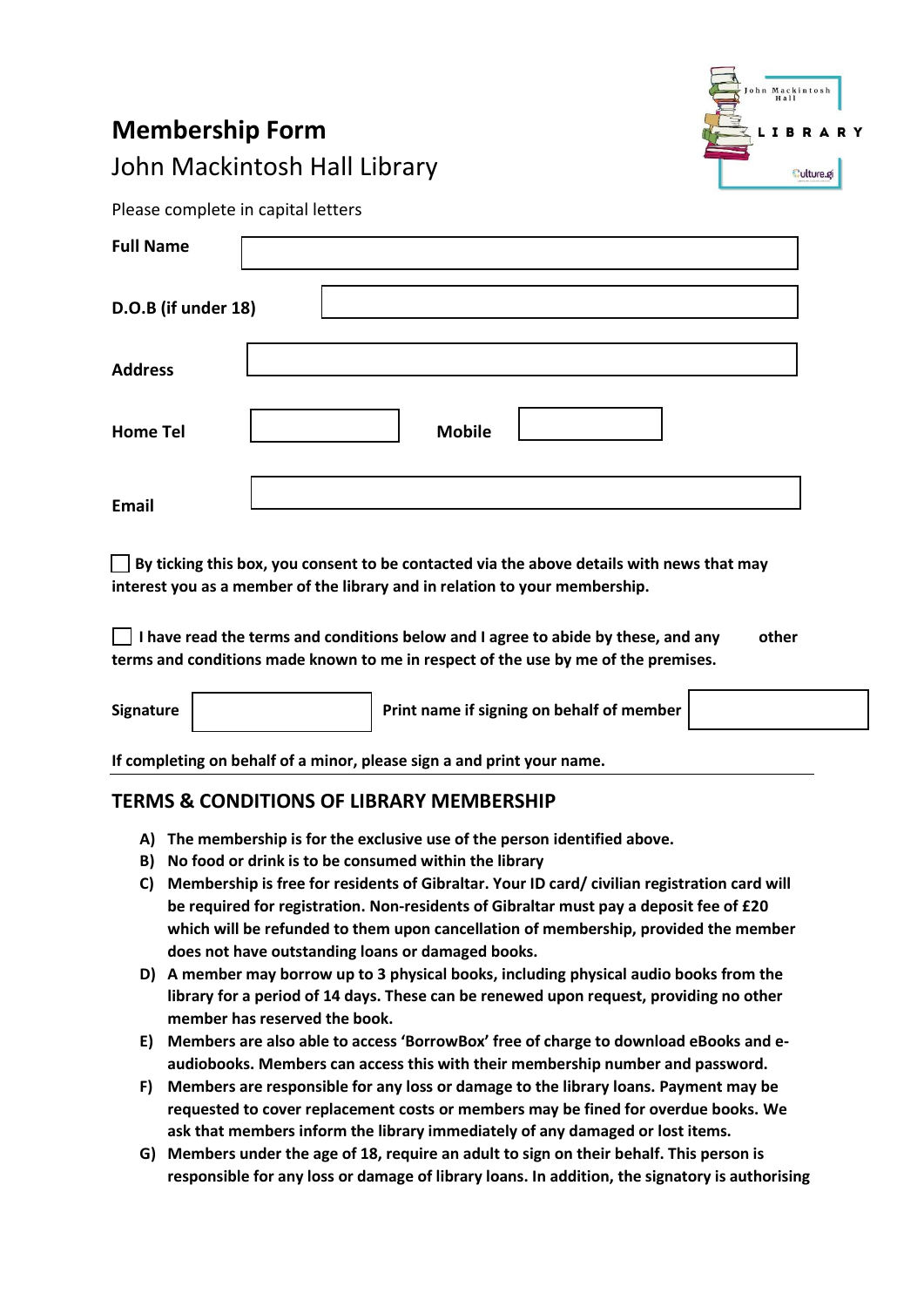## **Membership Form**  John Mackintosh Hall Library



Please complete in capital letters

| <b>Full Name</b>    |               |
|---------------------|---------------|
| D.O.B (if under 18) |               |
| <b>Address</b>      |               |
| <b>Home Tel</b>     | <b>Mobile</b> |
| <b>Email</b>        |               |

 **By ticking this box, you consent to be contacted via the above details with news that may interest you as a member of the library and in relation to your membership.**

 **I have read the terms and conditions below and I agree to abide by these, and any other terms and conditions made known to me in respect of the use by me of the premises.**

Signature **Print name if signing on behalf of member** 

**If completing on behalf of a minor, please sign a and print your name.** 

## **TERMS & CONDITIONS OF LIBRARY MEMBERSHIP**

- **A) The membership is for the exclusive use of the person identified above.**
- **B) No food or drink is to be consumed within the library**
- **C) Membership is free for residents of Gibraltar. Your ID card/ civilian registration card will be required for registration. Non-residents of Gibraltar must pay a deposit fee of £20 which will be refunded to them upon cancellation of membership, provided the member does not have outstanding loans or damaged books.**
- **D) A member may borrow up to 3 physical books, including physical audio books from the library for a period of 14 days. These can be renewed upon request, providing no other member has reserved the book.**
- **E) Members are also able to access 'BorrowBox' free of charge to download eBooks and eaudiobooks. Members can access this with their membership number and password.**
- **F) Members are responsible for any loss or damage to the library loans. Payment may be requested to cover replacement costs or members may be fined for overdue books. We ask that members inform the library immediately of any damaged or lost items.**
- **G) Members under the age of 18, require an adult to sign on their behalf. This person is responsible for any loss or damage of library loans. In addition, the signatory is authorising**